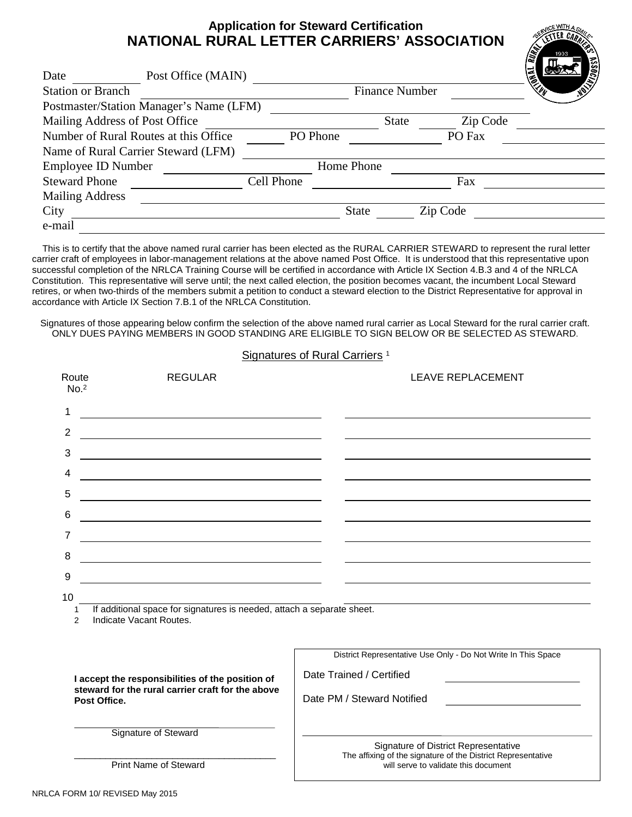#### **Application for Steward Certification NATIONAL RURAL LETTER CARRIERS' ASSOCIATION**

| Date                                    | Post Office (MAIN) |            |              |                       |          | <b>MANARIST</b> |
|-----------------------------------------|--------------------|------------|--------------|-----------------------|----------|-----------------|
| <b>Station or Branch</b>                |                    |            |              | <b>Finance Number</b> |          |                 |
| Postmaster/Station Manager's Name (LFM) |                    |            |              |                       |          |                 |
| Mailing Address of Post Office          |                    |            |              | <b>State</b>          | Zip Code |                 |
| Number of Rural Routes at this Office   |                    |            | PO Phone     |                       | PO Fax   |                 |
| Name of Rural Carrier Steward (LFM)     |                    |            |              |                       |          |                 |
| <b>Employee ID Number</b>               |                    | Home Phone |              |                       |          |                 |
| <b>Steward Phone</b>                    |                    | Cell Phone |              |                       | Fax      |                 |
| <b>Mailing Address</b>                  |                    |            |              |                       |          |                 |
| City                                    |                    |            | <b>State</b> |                       | Zip Code |                 |
| e-mail                                  |                    |            |              |                       |          |                 |

 This is to certify that the above named rural carrier has been elected as the RURAL CARRIER STEWARD to represent the rural letter carrier craft of employees in labor-management relations at the above named Post Office. It is understood that this representative upon successful completion of the NRLCA Training Course will be certified in accordance with Article IX Section 4.B.3 and 4 of the NRLCA Constitution. This representative will serve until; the next called election, the position becomes vacant, the incumbent Local Steward retires, or when two-thirds of the members submit a petition to conduct a steward election to the District Representative for approval in accordance with Article IX Section 7.B.1 of the NRLCA Constitution.

Signatures of those appearing below confirm the selection of the above named rural carrier as Local Steward for the rural carrier craft. ONLY DUES PAYING MEMBERS IN GOOD STANDING ARE ELIGIBLE TO SIGN BELOW OR BE SELECTED AS STEWARD.

| <u> 1980 - Johann Barbara, martin amerikan basar dan basa dan basar dan basar dalam basa dalam basa dalam basa da</u><br><u> 1989 - Johann Barbara, martin amerikan basar dan berasal dalam basa dalam basa dalam basa dalam basa dalam b</u><br><u> 1980 - Johann Barbara, martin amerikan basar dan basa dan basar dalam basa dalam basa dalam basa dalam basa</u><br><u> 1989 - Johann Barbara, martxa alemaniar amerikan a</u><br><u> 1989 - Johann Barbara, martin amerikan basar dan berasal dan berasal dalam basar dalam basar dalam basar dala</u><br><u> 1989 - Johann John Stein, markin fan it ferstjer fan it ferstjer fan it ferstjer fan it ferstjer fan it fers</u> |  |  |
|-------------------------------------------------------------------------------------------------------------------------------------------------------------------------------------------------------------------------------------------------------------------------------------------------------------------------------------------------------------------------------------------------------------------------------------------------------------------------------------------------------------------------------------------------------------------------------------------------------------------------------------------------------------------------------------|--|--|
|                                                                                                                                                                                                                                                                                                                                                                                                                                                                                                                                                                                                                                                                                     |  |  |
|                                                                                                                                                                                                                                                                                                                                                                                                                                                                                                                                                                                                                                                                                     |  |  |
|                                                                                                                                                                                                                                                                                                                                                                                                                                                                                                                                                                                                                                                                                     |  |  |
|                                                                                                                                                                                                                                                                                                                                                                                                                                                                                                                                                                                                                                                                                     |  |  |
|                                                                                                                                                                                                                                                                                                                                                                                                                                                                                                                                                                                                                                                                                     |  |  |
|                                                                                                                                                                                                                                                                                                                                                                                                                                                                                                                                                                                                                                                                                     |  |  |
|                                                                                                                                                                                                                                                                                                                                                                                                                                                                                                                                                                                                                                                                                     |  |  |
|                                                                                                                                                                                                                                                                                                                                                                                                                                                                                                                                                                                                                                                                                     |  |  |
| <u> 1989 - Johann Stoff, amerikansk politiker (d. 1989)</u>                                                                                                                                                                                                                                                                                                                                                                                                                                                                                                                                                                                                                         |  |  |
|                                                                                                                                                                                                                                                                                                                                                                                                                                                                                                                                                                                                                                                                                     |  |  |
| If additional space for signatures is needed, attach a separate sheet.                                                                                                                                                                                                                                                                                                                                                                                                                                                                                                                                                                                                              |  |  |
| District Representative Use Only - Do Not Write In This Space                                                                                                                                                                                                                                                                                                                                                                                                                                                                                                                                                                                                                       |  |  |
| Date Trained / Certified                                                                                                                                                                                                                                                                                                                                                                                                                                                                                                                                                                                                                                                            |  |  |
| Date PM / Steward Notified                                                                                                                                                                                                                                                                                                                                                                                                                                                                                                                                                                                                                                                          |  |  |
|                                                                                                                                                                                                                                                                                                                                                                                                                                                                                                                                                                                                                                                                                     |  |  |
| Signature of District Representative                                                                                                                                                                                                                                                                                                                                                                                                                                                                                                                                                                                                                                                |  |  |
|                                                                                                                                                                                                                                                                                                                                                                                                                                                                                                                                                                                                                                                                                     |  |  |

Signatures of Rural Carriers<sup>1</sup>